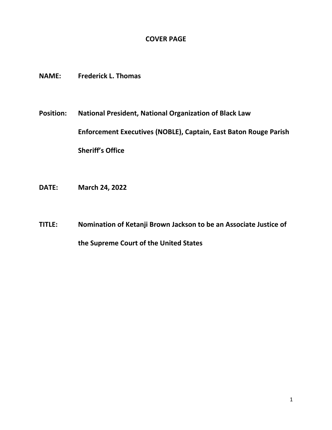## **COVER PAGE**

- **NAME: Frederick L. Thomas**
- **Position: National President, National Organization of Black Law Enforcement Executives (NOBLE), Captain, East Baton Rouge Parish Sheriff's Office**
- **DATE: March 24, 2022**
- **TITLE: Nomination of Ketanji Brown Jackson to be an Associate Justice of the Supreme Court of the United States**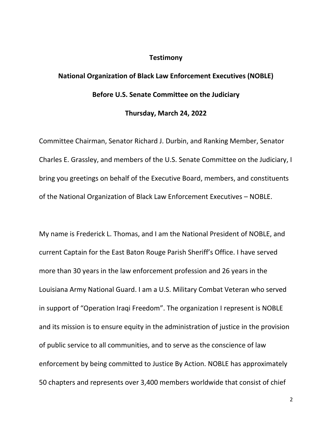## **Testimony**

## **National Organization of Black Law Enforcement Executives (NOBLE) Before U.S. Senate Committee on the Judiciary**

## **Thursday, March 24, 2022**

Committee Chairman, Senator Richard J. Durbin, and Ranking Member, Senator Charles E. Grassley, and members of the U.S. Senate Committee on the Judiciary, I bring you greetings on behalf of the Executive Board, members, and constituents of the National Organization of Black Law Enforcement Executives – NOBLE.

My name is Frederick L. Thomas, and I am the National President of NOBLE, and current Captain for the East Baton Rouge Parish Sheriff's Office. I have served more than 30 years in the law enforcement profession and 26 years in the Louisiana Army National Guard. I am a U.S. Military Combat Veteran who served in support of "Operation Iraqi Freedom". The organization I represent is NOBLE and its mission is to ensure equity in the administration of justice in the provision of public service to all communities, and to serve as the conscience of law enforcement by being committed to Justice By Action. NOBLE has approximately 50 chapters and represents over 3,400 members worldwide that consist of chief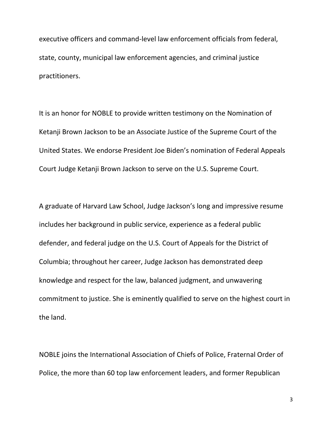executive officers and command-level law enforcement officials from federal, state, county, municipal law enforcement agencies, and criminal justice practitioners.

It is an honor for NOBLE to provide written testimony on the Nomination of Ketanji Brown Jackson to be an Associate Justice of the Supreme Court of the United States. We endorse President Joe Biden's nomination of Federal Appeals Court Judge Ketanji Brown Jackson to serve on the U.S. Supreme Court.

A graduate of Harvard Law School, Judge Jackson's long and impressive resume includes her background in public service, experience as a federal public defender, and federal judge on the U.S. Court of Appeals for the District of Columbia; throughout her career, Judge Jackson has demonstrated deep knowledge and respect for the law, balanced judgment, and unwavering commitment to justice. She is eminently qualified to serve on the highest court in the land.

NOBLE joins the International Association of Chiefs of Police, Fraternal Order of Police, the more than 60 top law enforcement leaders, and former Republican

3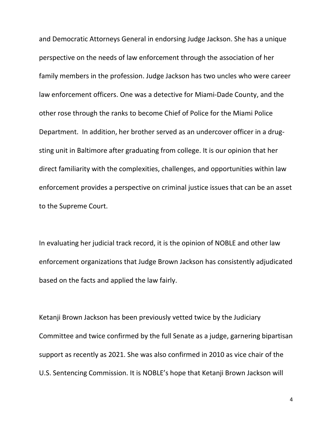and Democratic Attorneys General in endorsing Judge Jackson. She has a unique perspective on the needs of law enforcement through the association of her family members in the profession. Judge Jackson has two uncles who were career law enforcement officers. One was a detective for Miami-Dade County, and the other rose through the ranks to become Chief of Police for the Miami Police Department. In addition, her brother served as an undercover officer in a drugsting unit in Baltimore after graduating from college. It is our opinion that her direct familiarity with the complexities, challenges, and opportunities within law enforcement provides a perspective on criminal justice issues that can be an asset to the Supreme Court.

In evaluating her judicial track record, it is the opinion of NOBLE and other law enforcement organizations that Judge Brown Jackson has consistently adjudicated based on the facts and applied the law fairly.

Ketanji Brown Jackson has been previously vetted twice by the Judiciary Committee and twice confirmed by the full Senate as a judge, garnering bipartisan support as recently as 2021. She was also confirmed in 2010 as vice chair of the U.S. Sentencing Commission. It is NOBLE's hope that Ketanji Brown Jackson will

4